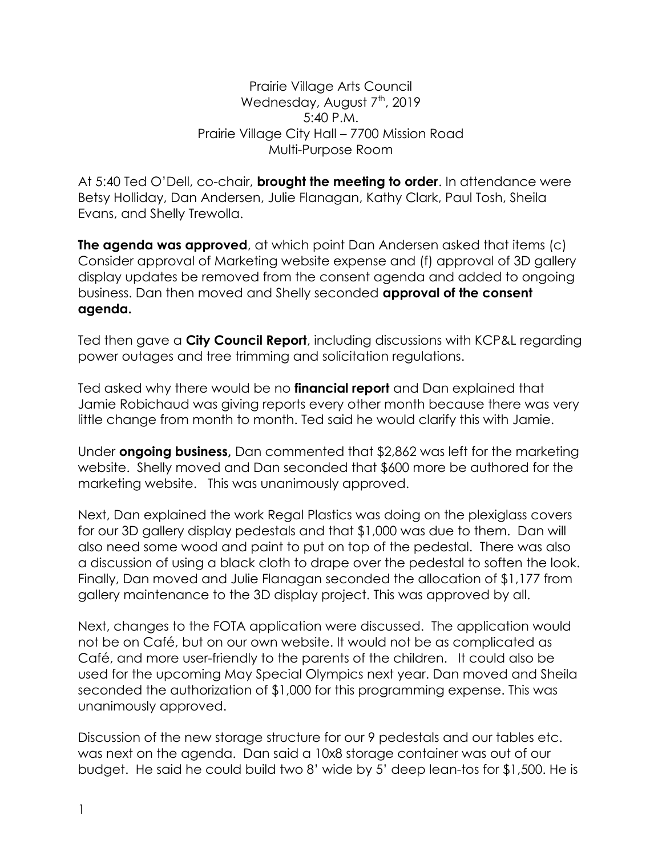Prairie Village Arts Council Wednesday, August 7<sup>th</sup>, 2019 5:40 P.M. Prairie Village City Hall – 7700 Mission Road Multi-Purpose Room

At 5:40 Ted O'Dell, co-chair, **brought the meeting to order**. In attendance were Betsy Holliday, Dan Andersen, Julie Flanagan, Kathy Clark, Paul Tosh, Sheila Evans, and Shelly Trewolla.

**The agenda was approved**, at which point Dan Andersen asked that items (c) Consider approval of Marketing website expense and (f) approval of 3D gallery display updates be removed from the consent agenda and added to ongoing business. Dan then moved and Shelly seconded **approval of the consent agenda.**

Ted then gave a **City Council Report**, including discussions with KCP&L regarding power outages and tree trimming and solicitation regulations.

Ted asked why there would be no **financial report** and Dan explained that Jamie Robichaud was giving reports every other month because there was very little change from month to month. Ted said he would clarify this with Jamie.

Under **ongoing business,** Dan commented that \$2,862 was left for the marketing website. Shelly moved and Dan seconded that \$600 more be authored for the marketing website. This was unanimously approved.

Next, Dan explained the work Regal Plastics was doing on the plexiglass covers for our 3D gallery display pedestals and that \$1,000 was due to them. Dan will also need some wood and paint to put on top of the pedestal. There was also a discussion of using a black cloth to drape over the pedestal to soften the look. Finally, Dan moved and Julie Flanagan seconded the allocation of \$1,177 from gallery maintenance to the 3D display project. This was approved by all.

Next, changes to the FOTA application were discussed. The application would not be on Café, but on our own website. It would not be as complicated as Café, and more user-friendly to the parents of the children. It could also be used for the upcoming May Special Olympics next year. Dan moved and Sheila seconded the authorization of \$1,000 for this programming expense. This was unanimously approved.

Discussion of the new storage structure for our 9 pedestals and our tables etc. was next on the agenda. Dan said a 10x8 storage container was out of our budget. He said he could build two 8' wide by 5' deep lean-tos for \$1,500. He is